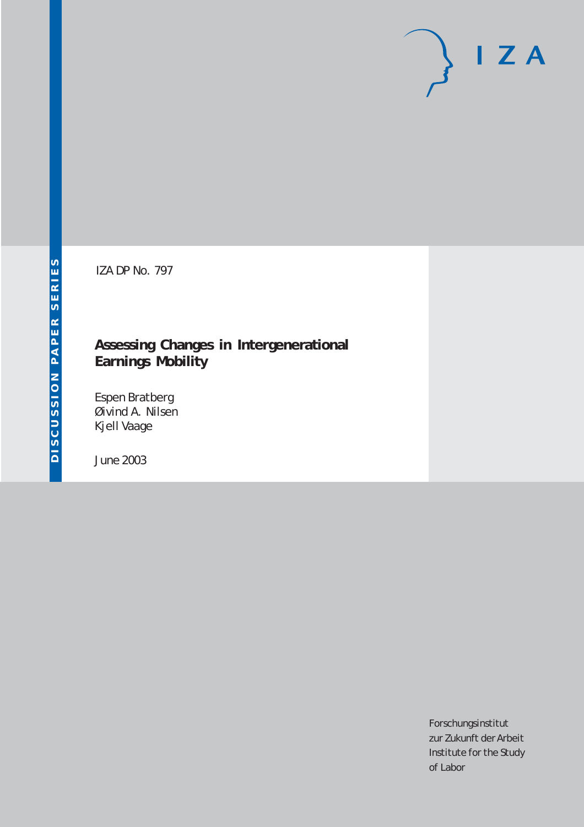# $I Z A$

IZA DP No. 797

### **Assessing Changes in Intergenerational Earnings Mobility**

Espen Bratberg Øivind A. Nilsen Kjell Vaage

June 2003

Forschungsinstitut zur Zukunft der Arbeit Institute for the Study of Labor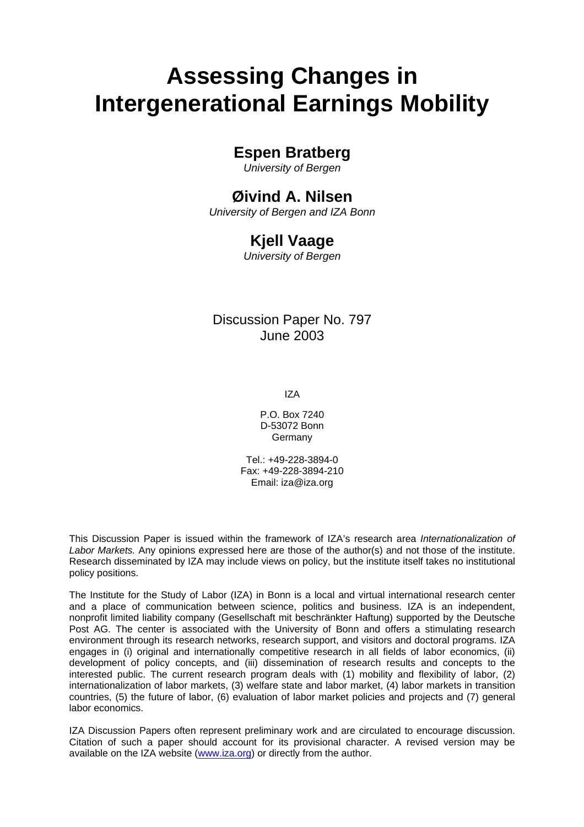# **Assessing Changes in Intergenerational Earnings Mobility**

## **Espen Bratberg**

*University of Bergen* 

## **Øivind A. Nilsen**

*University of Bergen and IZA Bonn* 

## **Kjell Vaage**

*University of Bergen*

Discussion Paper No. 797 June 2003

IZA

P.O. Box 7240 D-53072 Bonn Germany

Tel.: +49-228-3894-0 Fax: +49-228-3894-210 Email: [iza@iza.org](mailto:iza@iza.org)

This Discussion Paper is issued within the framework of IZA's research area *Internationalization of Labor Markets.* Any opinions expressed here are those of the author(s) and not those of the institute. Research disseminated by IZA may include views on policy, but the institute itself takes no institutional policy positions.

The Institute for the Study of Labor (IZA) in Bonn is a local and virtual international research center and a place of communication between science, politics and business. IZA is an independent, nonprofit limited liability company (Gesellschaft mit beschränkter Haftung) supported by the Deutsche Post AG. The center is associated with the University of Bonn and offers a stimulating research environment through its research networks, research support, and visitors and doctoral programs. IZA engages in (i) original and internationally competitive research in all fields of labor economics, (ii) development of policy concepts, and (iii) dissemination of research results and concepts to the interested public. The current research program deals with (1) mobility and flexibility of labor, (2) internationalization of labor markets, (3) welfare state and labor market, (4) labor markets in transition countries, (5) the future of labor, (6) evaluation of labor market policies and projects and (7) general labor economics.

IZA Discussion Papers often represent preliminary work and are circulated to encourage discussion. Citation of such a paper should account for its provisional character. A revised version may be available on the IZA website ([www.iza.org](http://www.iza.org/)) or directly from the author.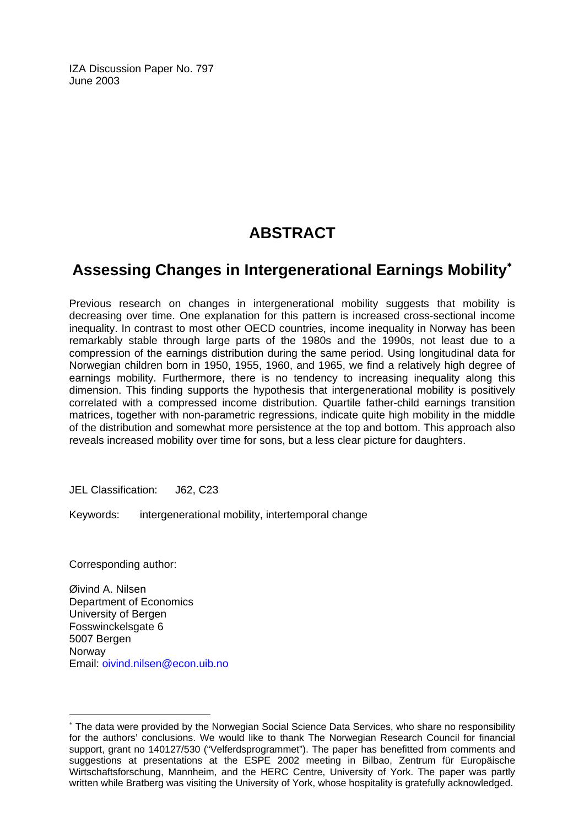IZA Discussion Paper No. 797 June 2003

## **ABSTRACT**

## **Assessing Changes in Intergenerational Earnings Mobility**[∗](#page-2-0)

Previous research on changes in intergenerational mobility suggests that mobility is decreasing over time. One explanation for this pattern is increased cross-sectional income inequality. In contrast to most other OECD countries, income inequality in Norway has been remarkably stable through large parts of the 1980s and the 1990s, not least due to a compression of the earnings distribution during the same period. Using longitudinal data for Norwegian children born in 1950, 1955, 1960, and 1965, we find a relatively high degree of earnings mobility. Furthermore, there is no tendency to increasing inequality along this dimension. This finding supports the hypothesis that intergenerational mobility is positively correlated with a compressed income distribution. Quartile father-child earnings transition matrices, together with non-parametric regressions, indicate quite high mobility in the middle of the distribution and somewhat more persistence at the top and bottom. This approach also reveals increased mobility over time for sons, but a less clear picture for daughters.

JEL Classification: J62, C23

Keywords: intergenerational mobility, intertemporal change

Corresponding author:

 $\overline{a}$ 

Øivind A. Nilsen Department of Economics University of Bergen Fosswinckelsgate 6 5007 Bergen Norway Email: [oivind.nilsen@econ.uib.no](mailto:oivind.nilsen@econ.uib.no) 

<span id="page-2-0"></span><sup>∗</sup> The data were provided by the Norwegian Social Science Data Services, who share no responsibility for the authors' conclusions. We would like to thank The Norwegian Research Council for financial support, grant no 140127/530 ("Velferdsprogrammet"). The paper has benefitted from comments and suggestions at presentations at the ESPE 2002 meeting in Bilbao, Zentrum für Europäische Wirtschaftsforschung, Mannheim, and the HERC Centre, University of York. The paper was partly written while Bratberg was visiting the University of York, whose hospitality is gratefully acknowledged.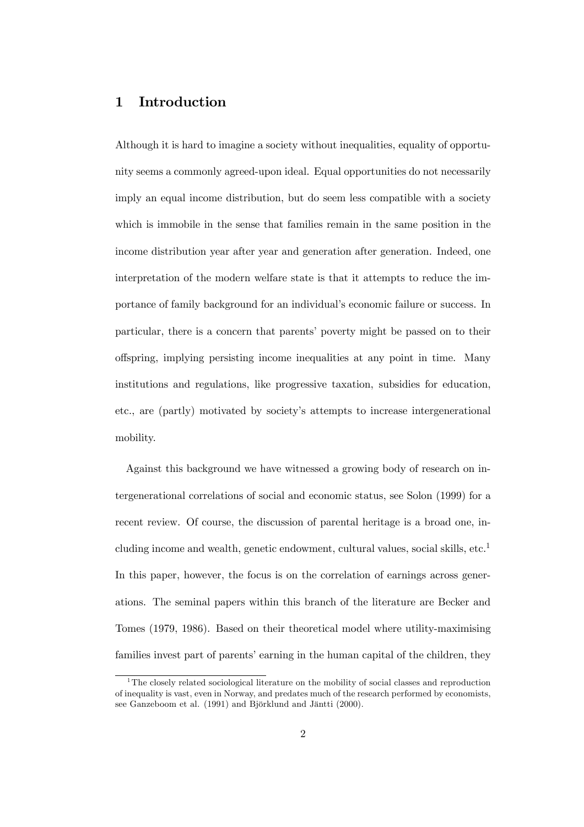#### 1 Introduction

Although it is hard to imagine a society without inequalities, equality of opportunity seems a commonly agreed-upon ideal. Equal opportunities do not necessarily imply an equal income distribution, but do seem less compatible with a society which is immobile in the sense that families remain in the same position in the income distribution year after year and generation after generation. Indeed, one interpretation of the modern welfare state is that it attempts to reduce the importance of family background for an individual's economic failure or success. In particular, there is a concern that parents' poverty might be passed on to their offspring, implying persisting income inequalities at any point in time. Many institutions and regulations, like progressive taxation, subsidies for education, etc., are (partly) motivated by society's attempts to increase intergenerational mobility.

Against this background we have witnessed a growing body of research on intergenerational correlations of social and economic status, see Solon (1999) for a recent review. Of course, the discussion of parental heritage is a broad one, including income and wealth, genetic endowment, cultural values, social skills,  $etc.<sup>1</sup>$ In this paper, however, the focus is on the correlation of earnings across generations. The seminal papers within this branch of the literature are Becker and Tomes (1979, 1986). Based on their theoretical model where utility-maximising families invest part of parents' earning in the human capital of the children, they

<sup>&</sup>lt;sup>1</sup>The closely related sociological literature on the mobility of social classes and reproduction of inequality is vast, even in Norway, and predates much of the research performed by economists, see Ganzeboom et al. (1991) and Björklund and Jäntti (2000).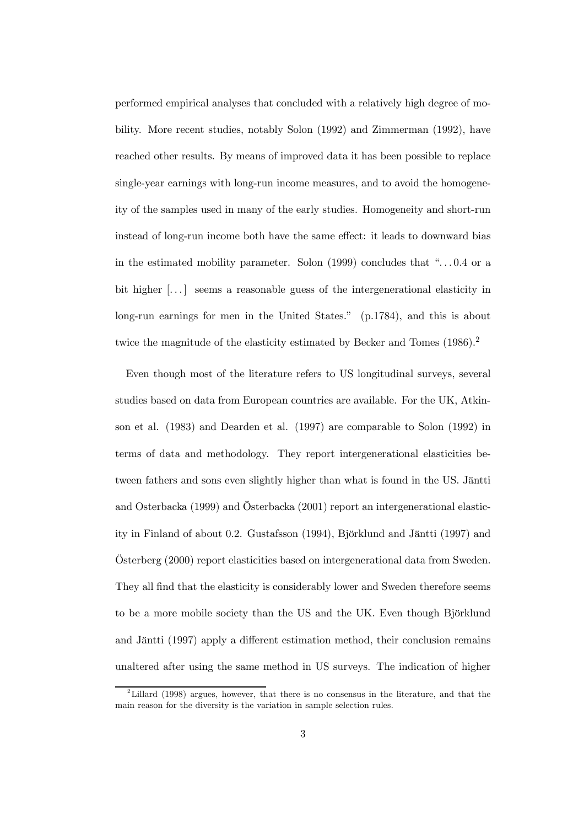performed empirical analyses that concluded with a relatively high degree of mobility. More recent studies, notably Solon (1992) and Zimmerman (1992), have reached other results. By means of improved data it has been possible to replace single-year earnings with long-run income measures, and to avoid the homogeneity of the samples used in many of the early studies. Homogeneity and short-run instead of long-run income both have the same effect: it leads to downward bias in the estimated mobility parameter. Solon  $(1999)$  concludes that "... 0.4 or a bit higher  $[\dots]$  seems a reasonable guess of the intergenerational elasticity in long-run earnings for men in the United States." (p.1784), and this is about twice the magnitude of the elasticity estimated by Becker and Tomes (1986).<sup>2</sup>

Even though most of the literature refers to US longitudinal surveys, several studies based on data from European countries are available. For the UK, Atkinson et al. (1983) and Dearden et al. (1997) are comparable to Solon (1992) in terms of data and methodology. They report intergenerational elasticities between fathers and sons even slightly higher than what is found in the US. Jäntti and Osterbacka (1999) and Österbacka (2001) report an intergenerational elasticity in Finland of about 0.2. Gustafsson (1994), Björklund and Jäntti (1997) and Österberg (2000) report elasticities based on intergenerational data from Sweden. They all find that the elasticity is considerably lower and Sweden therefore seems to be a more mobile society than the US and the UK. Even though Björklund and Jäntti (1997) apply a different estimation method, their conclusion remains unaltered after using the same method in US surveys. The indication of higher

<sup>&</sup>lt;sup>2</sup>Lillard (1998) argues, however, that there is no consensus in the literature, and that the main reason for the diversity is the variation in sample selection rules.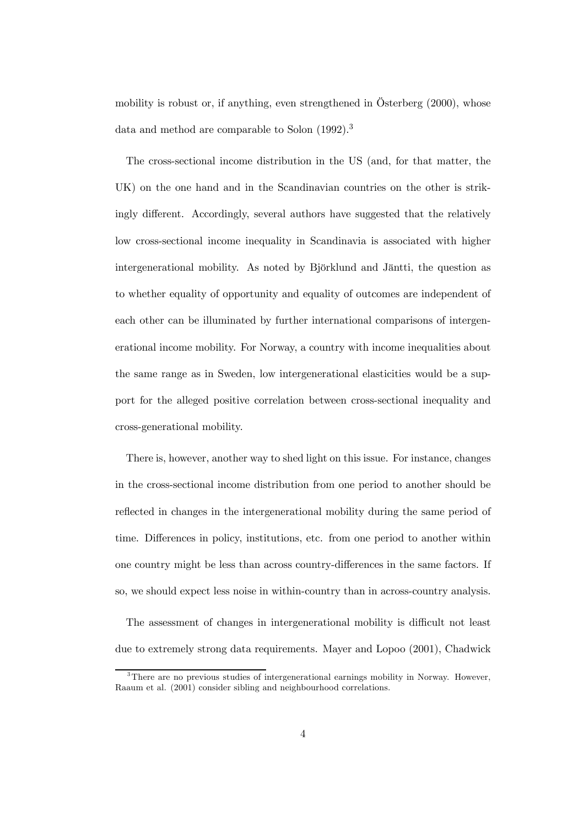mobility is robust or, if anything, even strengthened in Österberg (2000), whose data and method are comparable to Solon (1992).<sup>3</sup>

The cross-sectional income distribution in the US (and, for that matter, the UK) on the one hand and in the Scandinavian countries on the other is strikingly different. Accordingly, several authors have suggested that the relatively low cross-sectional income inequality in Scandinavia is associated with higher intergenerational mobility. As noted by Björklund and Jäntti, the question as to whether equality of opportunity and equality of outcomes are independent of each other can be illuminated by further international comparisons of intergenerational income mobility. For Norway, a country with income inequalities about the same range as in Sweden, low intergenerational elasticities would be a support for the alleged positive correlation between cross-sectional inequality and cross-generational mobility.

There is, however, another way to shed light on this issue. For instance, changes in the cross-sectional income distribution from one period to another should be reflected in changes in the intergenerational mobility during the same period of time. Differences in policy, institutions, etc. from one period to another within one country might be less than across country-differences in the same factors. If so, we should expect less noise in within-country than in across-country analysis.

The assessment of changes in intergenerational mobility is difficult not least due to extremely strong data requirements. Mayer and Lopoo (2001), Chadwick

<sup>&</sup>lt;sup>3</sup>There are no previous studies of intergenerational earnings mobility in Norway. However, Raaum et al. (2001) consider sibling and neighbourhood correlations.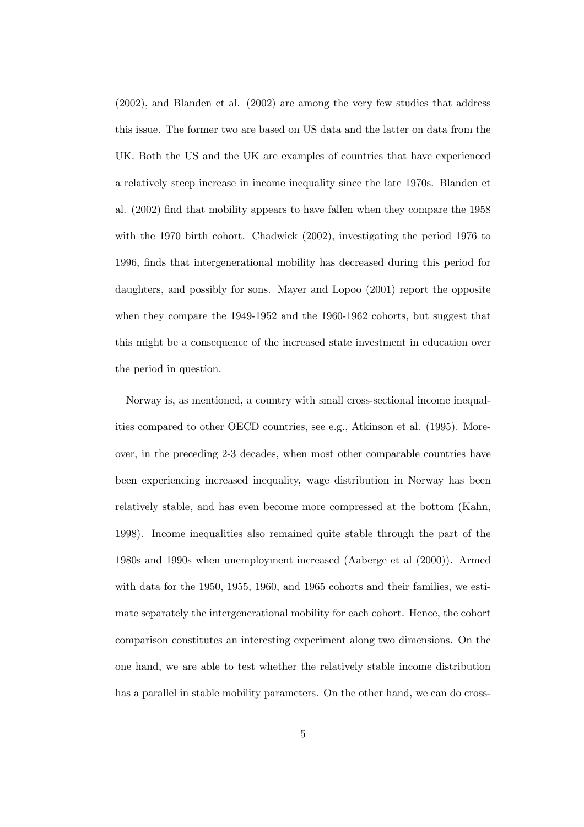(2002), and Blanden et al. (2002) are among the very few studies that address this issue. The former two are based on US data and the latter on data from the UK. Both the US and the UK are examples of countries that have experienced a relatively steep increase in income inequality since the late 1970s. Blanden et al. (2002) find that mobility appears to have fallen when they compare the 1958 with the 1970 birth cohort. Chadwick (2002), investigating the period 1976 to 1996, finds that intergenerational mobility has decreased during this period for daughters, and possibly for sons. Mayer and Lopoo (2001) report the opposite when they compare the 1949-1952 and the 1960-1962 cohorts, but suggest that this might be a consequence of the increased state investment in education over the period in question.

Norway is, as mentioned, a country with small cross-sectional income inequalities compared to other OECD countries, see e.g., Atkinson et al. (1995). Moreover, in the preceding 2-3 decades, when most other comparable countries have been experiencing increased inequality, wage distribution in Norway has been relatively stable, and has even become more compressed at the bottom (Kahn, 1998). Income inequalities also remained quite stable through the part of the 1980s and 1990s when unemployment increased (Aaberge et al (2000)). Armed with data for the 1950, 1955, 1960, and 1965 cohorts and their families, we estimate separately the intergenerational mobility for each cohort. Hence, the cohort comparison constitutes an interesting experiment along two dimensions. On the one hand, we are able to test whether the relatively stable income distribution has a parallel in stable mobility parameters. On the other hand, we can do cross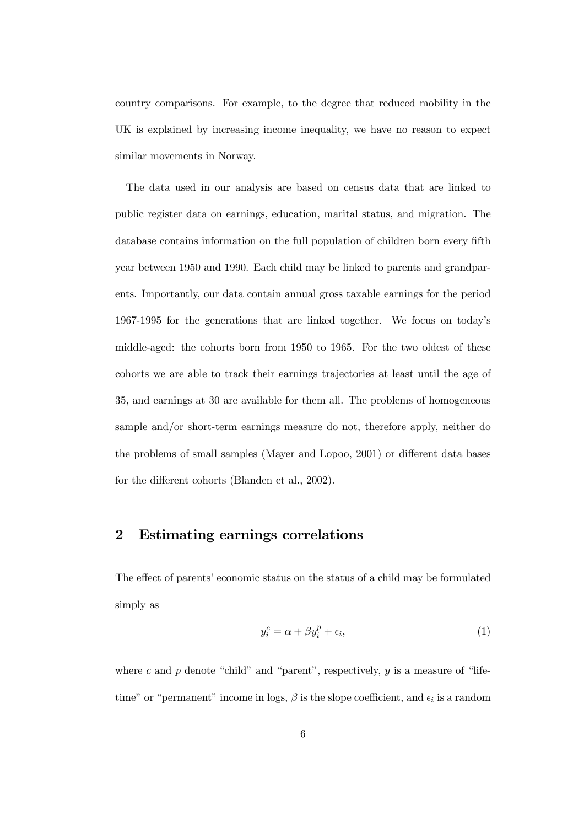country comparisons. For example, to the degree that reduced mobility in the UK is explained by increasing income inequality, we have no reason to expect similar movements in Norway.

The data used in our analysis are based on census data that are linked to public register data on earnings, education, marital status, and migration. The database contains information on the full population of children born every fifth year between 1950 and 1990. Each child may be linked to parents and grandparents. Importantly, our data contain annual gross taxable earnings for the period 1967-1995 for the generations that are linked together. We focus on today's middle-aged: the cohorts born from 1950 to 1965. For the two oldest of these cohorts we are able to track their earnings trajectories at least until the age of 35, and earnings at 30 are available for them all. The problems of homogeneous sample and/or short-term earnings measure do not, therefore apply, neither do the problems of small samples (Mayer and Lopoo, 2001) or different data bases for the different cohorts (Blanden et al., 2002).

#### 2 Estimating earnings correlations

The effect of parents' economic status on the status of a child may be formulated simply as

$$
y_i^c = \alpha + \beta y_i^p + \epsilon_i,\tag{1}
$$

where c and  $p$  denote "child" and "parent", respectively,  $y$  is a measure of "lifetime" or "permanent" income in logs,  $\beta$  is the slope coefficient, and  $\epsilon_i$  is a random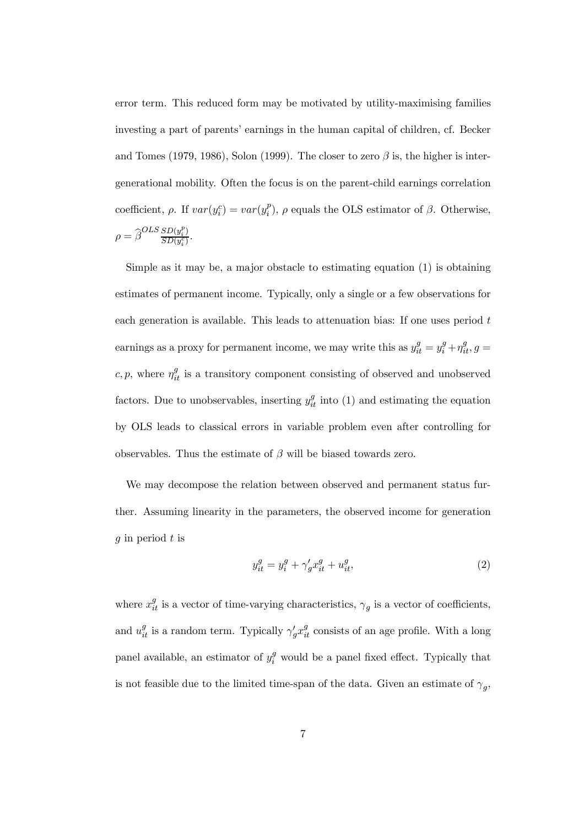error term. This reduced form may be motivated by utility-maximising families investing a part of parents' earnings in the human capital of children, cf. Becker and Tomes (1979, 1986), Solon (1999). The closer to zero  $\beta$  is, the higher is intergenerational mobility. Often the focus is on the parent-child earnings correlation coefficient,  $\rho$ . If  $var(y_i^c) = var(y_i^p)$ ,  $\rho$  equals the OLS estimator of  $\beta$ . Otherwise,  $\rho = \widehat{\beta}^{OLS} \frac{SD(y_i^p)}{SD(y_i^c)}.$ 

Simple as it may be, a major obstacle to estimating equation  $(1)$  is obtaining estimates of permanent income. Typically, only a single or a few observations for each generation is available. This leads to attenuation bias: If one uses period t earnings as a proxy for permanent income, we may write this as  $y_{it}^g = y_i^g + \eta_{it}^g$ ,  $g =$  $c, p$ , where  $\eta_{it}^g$  is a transitory component consisting of observed and unobserved factors. Due to unobservables, inserting  $y_{it}^g$  into (1) and estimating the equation by OLS leads to classical errors in variable problem even after controlling for observables. Thus the estimate of  $\beta$  will be biased towards zero.

We may decompose the relation between observed and permanent status further. Assuming linearity in the parameters, the observed income for generation q in period  $t$  is

$$
y_{it}^g = y_i^g + \gamma_g' x_{it}^g + u_{it}^g,\tag{2}
$$

where  $x_{it}^g$  is a vector of time-varying characteristics,  $\gamma_g$  is a vector of coefficients, and  $u_{it}^g$  is a random term. Typically  $\gamma_g' x_{it}^g$  consists of an age profile. With a long panel available, an estimator of  $y_i^g$  would be a panel fixed effect. Typically that is not feasible due to the limited time-span of the data. Given an estimate of  $\gamma_q$ ,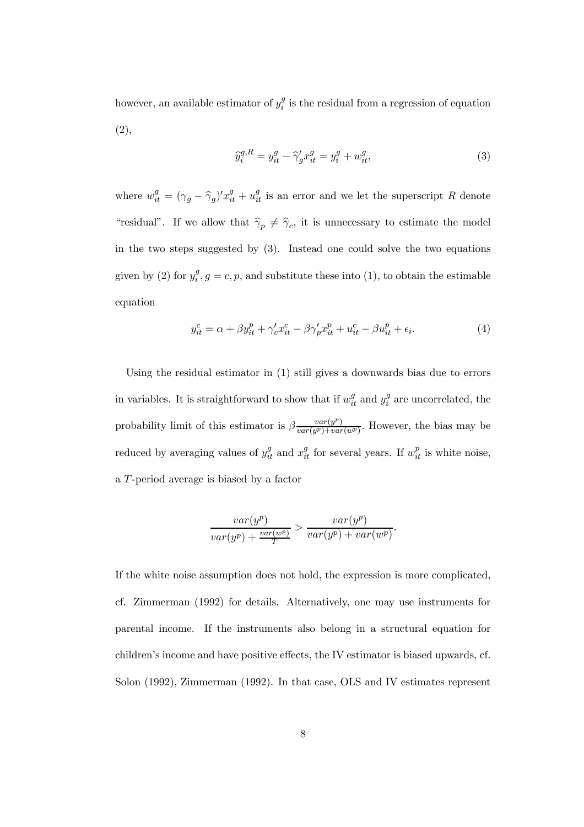however, an available estimator of  $y_i^g$  is the residual from a regression of equation (2),

$$
\widehat{y}_i^{g,R} = y_{it}^g - \widehat{\gamma}_g' x_{it}^g = y_i^g + w_{it}^g,\tag{3}
$$

where  $w_{it}^g = (\gamma_g - \widehat{\gamma}_g)' x_{it}^g + u_{it}^g$  is an error and we let the superscript R denote "residual". If we allow that  $\hat{\gamma}_p \neq \hat{\gamma}_c$ , it is unnecessary to estimate the model in the two steps suggested by (3). Instead one could solve the two equations given by (2) for  $y_i^g$ ,  $g = c, p$ , and substitute these into (1), to obtain the estimable equation

$$
y_{it}^c = \alpha + \beta y_{it}^p + \gamma_c' x_{it}^c - \beta \gamma_p' x_{it}^p + u_{it}^c - \beta u_{it}^p + \epsilon_i.
$$
 (4)

Using the residual estimator in (1) still gives a downwards bias due to errors in variables. It is straightforward to show that if  $w_{it}^g$  and  $y_i^g$  are uncorrelated, the probability limit of this estimator is  $\beta \frac{var(y^p)}{var(y^p)+var(w^p)}$ . However, the bias may be reduced by averaging values of  $y_{it}^g$  and  $x_{it}^g$  for several years. If  $w_{it}^p$  is white noise, a T-period average is biased by a factor

$$
\frac{var(y^p)}{var(y^p) + \frac{var(w^p)}{T}} > \frac{var(y^p)}{var(y^p) + var(w^p)}.
$$

If the white noise assumption does not hold, the expression is more complicated, cf. Zimmerman (1992) for details. Alternatively, one may use instruments for parental income. If the instruments also belong in a structural equation for children's income and have positive effects, the IV estimator is biased upwards, cf. Solon (1992), Zimmerman (1992). In that case, OLS and IV estimates represent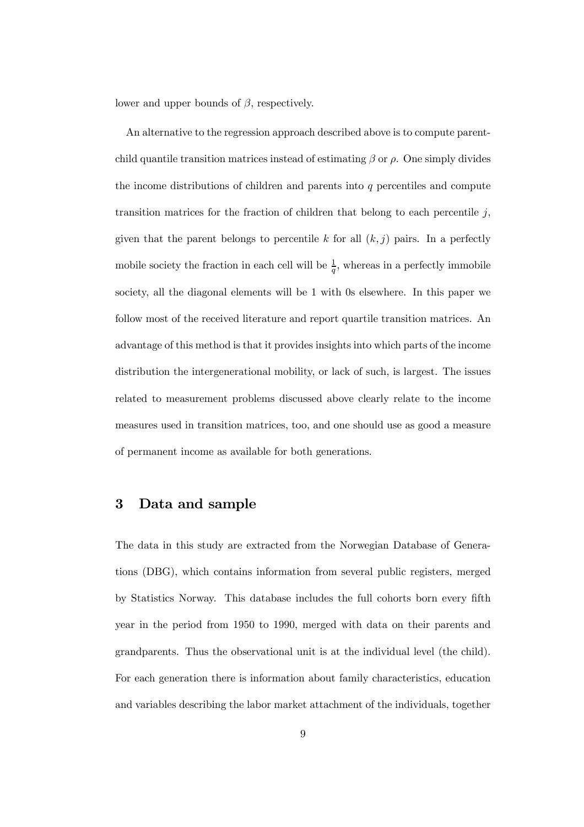lower and upper bounds of  $\beta$ , respectively.

An alternative to the regression approach described above is to compute parentchild quantile transition matrices instead of estimating  $\beta$  or  $\rho$ . One simply divides the income distributions of children and parents into q percentiles and compute transition matrices for the fraction of children that belong to each percentile  $j$ , given that the parent belongs to percentile k for all  $(k, j)$  pairs. In a perfectly mobile society the fraction in each cell will be  $\frac{1}{q}$ , whereas in a perfectly immobile society, all the diagonal elements will be 1 with 0s elsewhere. In this paper we follow most of the received literature and report quartile transition matrices. An advantage of this method is that it provides insights into which parts of the income distribution the intergenerational mobility, or lack of such, is largest. The issues related to measurement problems discussed above clearly relate to the income measures used in transition matrices, too, and one should use as good a measure of permanent income as available for both generations.

#### 3 Data and sample

The data in this study are extracted from the Norwegian Database of Generations (DBG), which contains information from several public registers, merged by Statistics Norway. This database includes the full cohorts born every fifth year in the period from 1950 to 1990, merged with data on their parents and grandparents. Thus the observational unit is at the individual level (the child). For each generation there is information about family characteristics, education and variables describing the labor market attachment of the individuals, together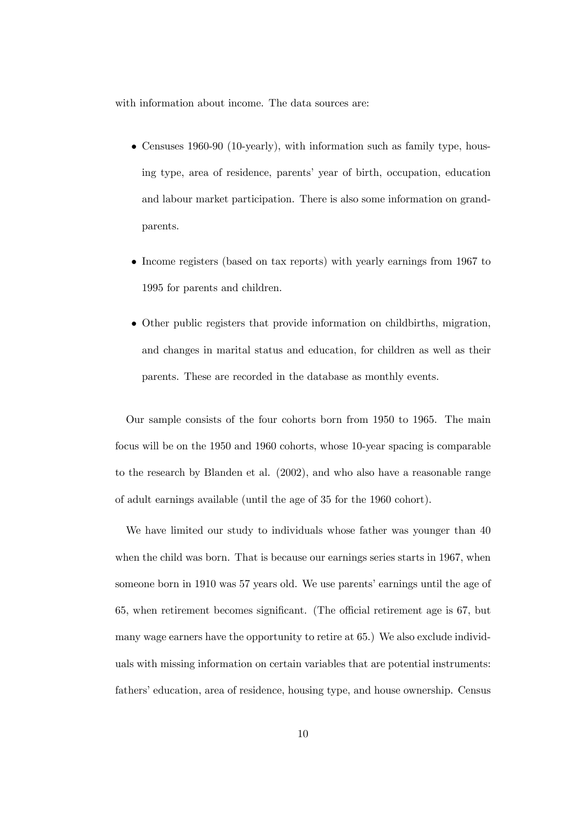with information about income. The data sources are:

- Censuses 1960-90 (10-yearly), with information such as family type, housing type, area of residence, parents' year of birth, occupation, education and labour market participation. There is also some information on grandparents.
- Income registers (based on tax reports) with yearly earnings from 1967 to 1995 for parents and children.
- Other public registers that provide information on childbirths, migration, and changes in marital status and education, for children as well as their parents. These are recorded in the database as monthly events.

Our sample consists of the four cohorts born from 1950 to 1965. The main focus will be on the 1950 and 1960 cohorts, whose 10-year spacing is comparable to the research by Blanden et al. (2002), and who also have a reasonable range of adult earnings available (until the age of 35 for the 1960 cohort).

We have limited our study to individuals whose father was younger than 40 when the child was born. That is because our earnings series starts in 1967, when someone born in 1910 was 57 years old. We use parents' earnings until the age of 65, when retirement becomes significant. (The official retirement age is 67, but many wage earners have the opportunity to retire at 65.) We also exclude individuals with missing information on certain variables that are potential instruments: fathers' education, area of residence, housing type, and house ownership. Census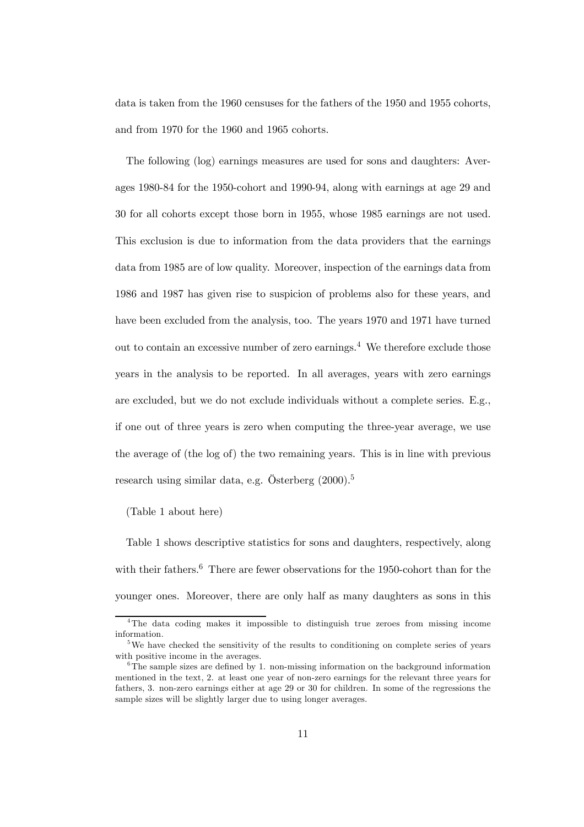data is taken from the 1960 censuses for the fathers of the 1950 and 1955 cohorts, and from 1970 for the 1960 and 1965 cohorts.

The following (log) earnings measures are used for sons and daughters: Averages 1980-84 for the 1950-cohort and 1990-94, along with earnings at age 29 and 30 for all cohorts except those born in 1955, whose 1985 earnings are not used. This exclusion is due to information from the data providers that the earnings data from 1985 are of low quality. Moreover, inspection of the earnings data from 1986 and 1987 has given rise to suspicion of problems also for these years, and have been excluded from the analysis, too. The years 1970 and 1971 have turned out to contain an excessive number of zero earnings.<sup>4</sup> We therefore exclude those years in the analysis to be reported. In all averages, years with zero earnings are excluded, but we do not exclude individuals without a complete series. E.g., if one out of three years is zero when computing the three-year average, we use the average of (the log of) the two remaining years. This is in line with previous research using similar data, e.g. Österberg  $(2000)^5$ 

#### (Table 1 about here)

Table 1 shows descriptive statistics for sons and daughters, respectively, along with their fathers.<sup>6</sup> There are fewer observations for the 1950-cohort than for the younger ones. Moreover, there are only half as many daughters as sons in this

<sup>4</sup>The data coding makes it impossible to distinguish true zeroes from missing income information.

<sup>&</sup>lt;sup>5</sup>We have checked the sensitivity of the results to conditioning on complete series of years with positive income in the averages.

 ${}^{6}$ The sample sizes are defined by 1. non-missing information on the background information mentioned in the text, 2. at least one year of non-zero earnings for the relevant three years for fathers, 3. non-zero earnings either at age 29 or 30 for children. In some of the regressions the sample sizes will be slightly larger due to using longer averages.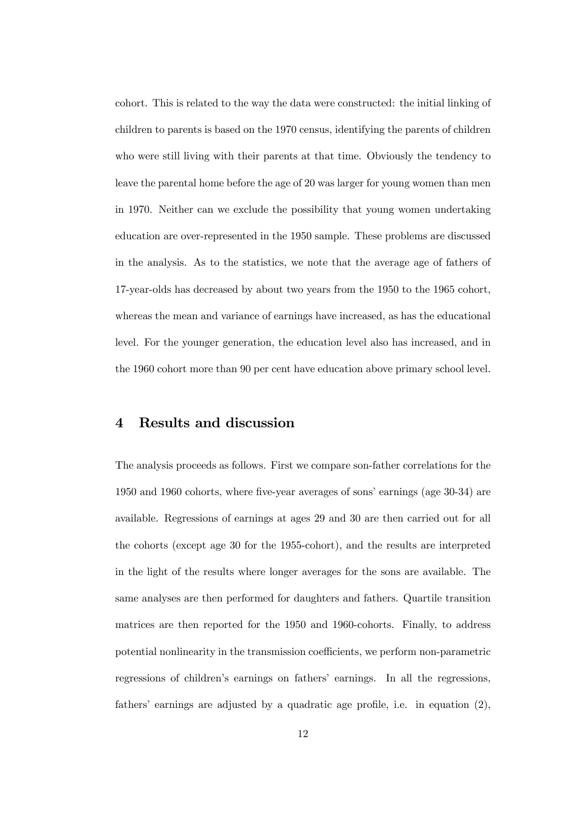cohort. This is related to the way the data were constructed: the initial linking of children to parents is based on the 1970 census, identifying the parents of children who were still living with their parents at that time. Obviously the tendency to leave the parental home before the age of 20 was larger for young women than men in 1970. Neither can we exclude the possibility that young women undertaking education are over-represented in the 1950 sample. These problems are discussed in the analysis. As to the statistics, we note that the average age of fathers of 17-year-olds has decreased by about two years from the 1950 to the 1965 cohort, whereas the mean and variance of earnings have increased, as has the educational level. For the younger generation, the education level also has increased, and in the 1960 cohort more than 90 per cent have education above primary school level.

#### 4 Results and discussion

The analysis proceeds as follows. First we compare son-father correlations for the 1950 and 1960 cohorts, where five-year averages of sons' earnings (age 30-34) are available. Regressions of earnings at ages 29 and 30 are then carried out for all the cohorts (except age 30 for the 1955-cohort), and the results are interpreted in the light of the results where longer averages for the sons are available. The same analyses are then performed for daughters and fathers. Quartile transition matrices are then reported for the 1950 and 1960-cohorts. Finally, to address potential nonlinearity in the transmission coefficients, we perform non-parametric regressions of children's earnings on fathers' earnings. In all the regressions, fathers' earnings are adjusted by a quadratic age profile, i.e. in equation (2),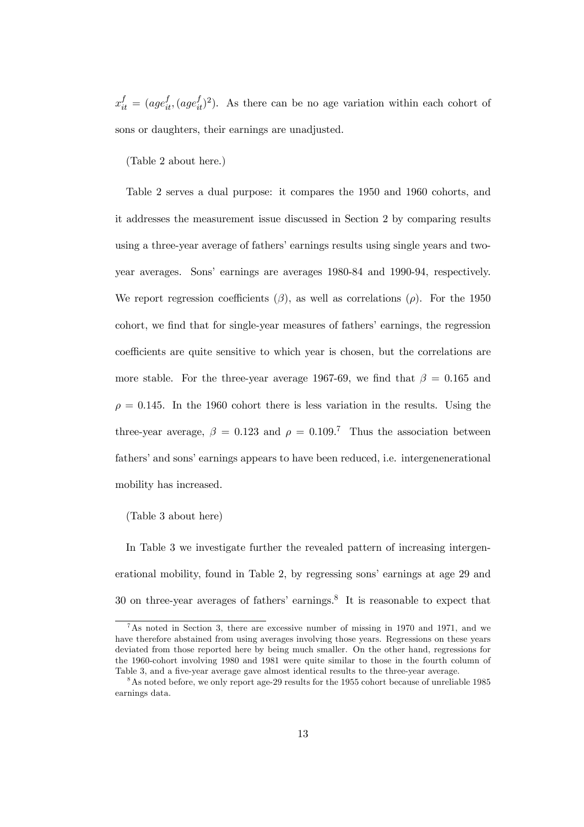$x_{it}^f = (age_{it}^f, (age_{it}^f)^2)$ . As there can be no age variation within each cohort of sons or daughters, their earnings are unadjusted.

(Table 2 about here.)

Table 2 serves a dual purpose: it compares the 1950 and 1960 cohorts, and it addresses the measurement issue discussed in Section 2 by comparing results using a three-year average of fathers' earnings results using single years and twoyear averages. Sons' earnings are averages 1980-84 and 1990-94, respectively. We report regression coefficients ( $\beta$ ), as well as correlations ( $\rho$ ). For the 1950 cohort, we find that for single-year measures of fathers' earnings, the regression coefficients are quite sensitive to which year is chosen, but the correlations are more stable. For the three-year average 1967-69, we find that  $\beta = 0.165$  and  $\rho = 0.145$ . In the 1960 cohort there is less variation in the results. Using the three-year average,  $\beta = 0.123$  and  $\rho = 0.109$ .<sup>7</sup> Thus the association between fathers' and sons' earnings appears to have been reduced, i.e. intergenenerational mobility has increased.

(Table 3 about here)

In Table 3 we investigate further the revealed pattern of increasing intergenerational mobility, found in Table 2, by regressing sons' earnings at age 29 and 30 on three-year averages of fathers' earnings.<sup>8</sup> It is reasonable to expect that

<sup>7</sup>As noted in Section 3, there are excessive number of missing in 1970 and 1971, and we have therefore abstained from using averages involving those years. Regressions on these years deviated from those reported here by being much smaller. On the other hand, regressions for the 1960-cohort involving 1980 and 1981 were quite similar to those in the fourth column of Table 3, and a five-year average gave almost identical results to the three-year average.

<sup>&</sup>lt;sup>8</sup>As noted before, we only report age-29 results for the 1955 cohort because of unreliable 1985 earnings data.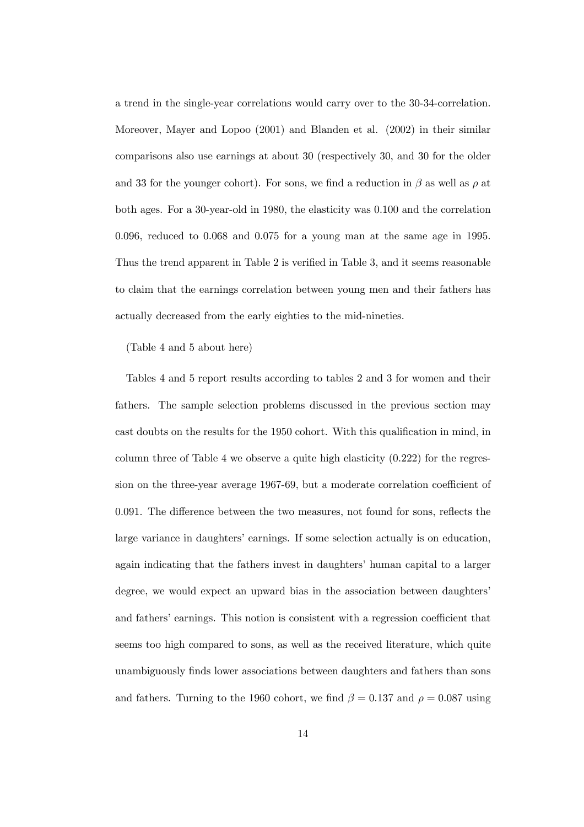a trend in the single-year correlations would carry over to the 30-34-correlation. Moreover, Mayer and Lopoo (2001) and Blanden et al. (2002) in their similar comparisons also use earnings at about 30 (respectively 30, and 30 for the older and 33 for the younger cohort). For sons, we find a reduction in  $\beta$  as well as  $\rho$  at both ages. For a 30-year-old in 1980, the elasticity was 0.100 and the correlation 0.096, reduced to 0.068 and 0.075 for a young man at the same age in 1995. Thus the trend apparent in Table 2 is verified in Table 3, and it seems reasonable to claim that the earnings correlation between young men and their fathers has actually decreased from the early eighties to the mid-nineties.

(Table 4 and 5 about here)

Tables 4 and 5 report results according to tables 2 and 3 for women and their fathers. The sample selection problems discussed in the previous section may cast doubts on the results for the 1950 cohort. With this qualification in mind, in column three of Table 4 we observe a quite high elasticity  $(0.222)$  for the regression on the three-year average 1967-69, but a moderate correlation coefficient of 0.091. The difference between the two measures, not found for sons, reflects the large variance in daughters' earnings. If some selection actually is on education, again indicating that the fathers invest in daughters' human capital to a larger degree, we would expect an upward bias in the association between daughters' and fathers' earnings. This notion is consistent with a regression coefficient that seems too high compared to sons, as well as the received literature, which quite unambiguously finds lower associations between daughters and fathers than sons and fathers. Turning to the 1960 cohort, we find  $\beta = 0.137$  and  $\rho = 0.087$  using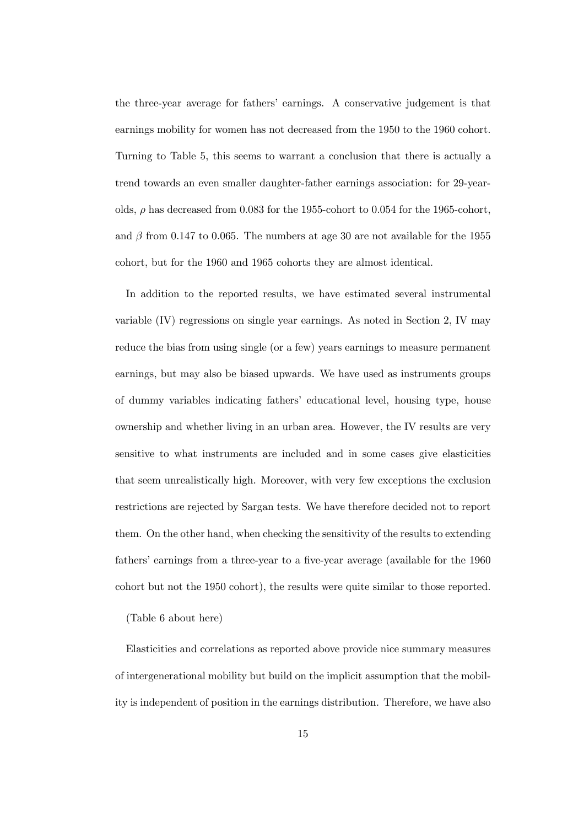the three-year average for fathers' earnings. A conservative judgement is that earnings mobility for women has not decreased from the 1950 to the 1960 cohort. Turning to Table 5, this seems to warrant a conclusion that there is actually a trend towards an even smaller daughter-father earnings association: for 29-yearolds,  $\rho$  has decreased from 0.083 for the 1955-cohort to 0.054 for the 1965-cohort, and  $\beta$  from 0.147 to 0.065. The numbers at age 30 are not available for the 1955 cohort, but for the 1960 and 1965 cohorts they are almost identical.

In addition to the reported results, we have estimated several instrumental variable (IV) regressions on single year earnings. As noted in Section 2, IV may reduce the bias from using single (or a few) years earnings to measure permanent earnings, but may also be biased upwards. We have used as instruments groups of dummy variables indicating fathers' educational level, housing type, house ownership and whether living in an urban area. However, the IV results are very sensitive to what instruments are included and in some cases give elasticities that seem unrealistically high. Moreover, with very few exceptions the exclusion restrictions are rejected by Sargan tests. We have therefore decided not to report them. On the other hand, when checking the sensitivity of the results to extending fathers' earnings from a three-year to a five-year average (available for the 1960 cohort but not the 1950 cohort), the results were quite similar to those reported.

(Table 6 about here)

Elasticities and correlations as reported above provide nice summary measures of intergenerational mobility but build on the implicit assumption that the mobility is independent of position in the earnings distribution. Therefore, we have also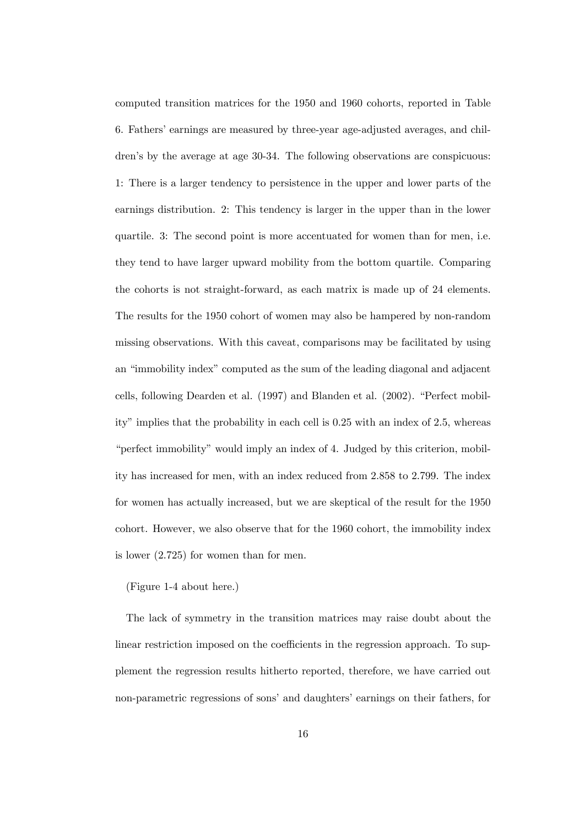computed transition matrices for the 1950 and 1960 cohorts, reported in Table 6. Fathers' earnings are measured by three-year age-adjusted averages, and children's by the average at age 30-34. The following observations are conspicuous: 1: There is a larger tendency to persistence in the upper and lower parts of the earnings distribution. 2: This tendency is larger in the upper than in the lower quartile. 3: The second point is more accentuated for women than for men, i.e. they tend to have larger upward mobility from the bottom quartile. Comparing the cohorts is not straight-forward, as each matrix is made up of 24 elements. The results for the 1950 cohort of women may also be hampered by non-random missing observations. With this caveat, comparisons may be facilitated by using an "immobility index" computed as the sum of the leading diagonal and adjacent cells, following Dearden et al. (1997) and Blanden et al. (2002). "Perfect mobility" implies that the probability in each cell is 0.25 with an index of 2.5, whereas "perfect immobility" would imply an index of 4. Judged by this criterion, mobility has increased for men, with an index reduced from 2.858 to 2.799. The index for women has actually increased, but we are skeptical of the result for the 1950 cohort. However, we also observe that for the 1960 cohort, the immobility index is lower (2.725) for women than for men.

#### (Figure 1-4 about here.)

The lack of symmetry in the transition matrices may raise doubt about the linear restriction imposed on the coefficients in the regression approach. To supplement the regression results hitherto reported, therefore, we have carried out non-parametric regressions of sons' and daughters' earnings on their fathers, for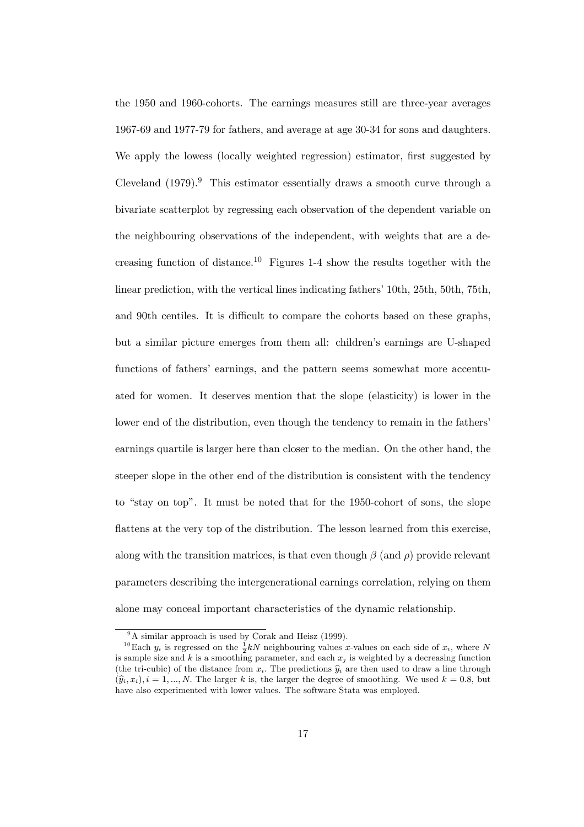the 1950 and 1960-cohorts. The earnings measures still are three-year averages 1967-69 and 1977-79 for fathers, and average at age 30-34 for sons and daughters. We apply the lowess (locally weighted regression) estimator, first suggested by Cleveland  $(1979).<sup>9</sup>$  This estimator essentially draws a smooth curve through a bivariate scatterplot by regressing each observation of the dependent variable on the neighbouring observations of the independent, with weights that are a decreasing function of distance.<sup>10</sup> Figures 1-4 show the results together with the linear prediction, with the vertical lines indicating fathers' 10th, 25th, 50th, 75th, and 90th centiles. It is difficult to compare the cohorts based on these graphs, but a similar picture emerges from them all: children's earnings are U-shaped functions of fathers' earnings, and the pattern seems somewhat more accentuated for women. It deserves mention that the slope (elasticity) is lower in the lower end of the distribution, even though the tendency to remain in the fathers' earnings quartile is larger here than closer to the median. On the other hand, the steeper slope in the other end of the distribution is consistent with the tendency to "stay on top". It must be noted that for the 1950-cohort of sons, the slope flattens at the very top of the distribution. The lesson learned from this exercise, along with the transition matrices, is that even though  $\beta$  (and  $\rho$ ) provide relevant parameters describing the intergenerational earnings correlation, relying on them alone may conceal important characteristics of the dynamic relationship.

<sup>&</sup>lt;sup>9</sup>A similar approach is used by Corak and Heisz (1999).

<sup>&</sup>lt;sup>10</sup>Each  $y_i$  is regressed on the  $\frac{1}{2}kN$  neighbouring values x-values on each side of  $x_i$ , where N is sample size and  $k$  is a smoothing parameter, and each  $x_j$  is weighted by a decreasing function (the tri-cubic) of the distance from  $x_i$ . The predictions  $\hat{y}_i$  are then used to draw a line through  $(\widehat{y}_i, x_i), i = 1, ..., N$ . The larger k is, the larger the degree of smoothing. We used  $k = 0.8$ , but have also experimented with lower values. The software Stata was employed.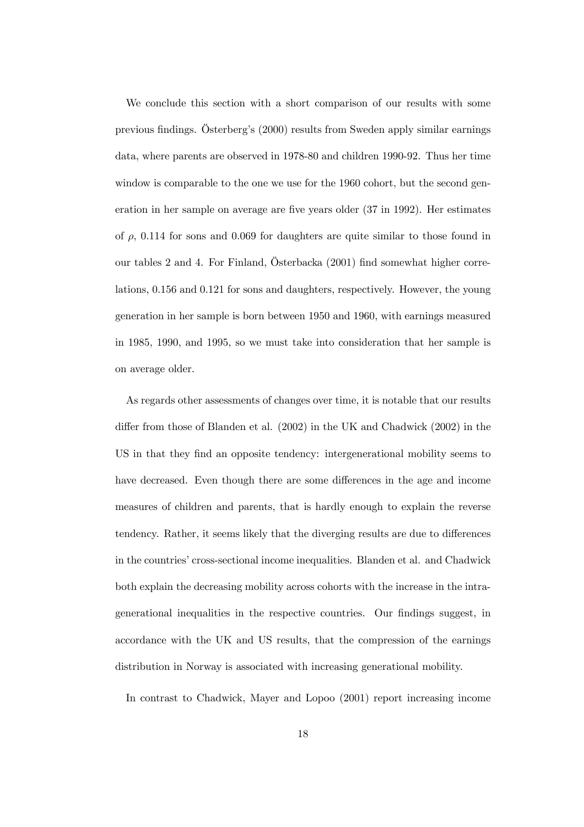We conclude this section with a short comparison of our results with some previous findings. Österberg's (2000) results from Sweden apply similar earnings data, where parents are observed in 1978-80 and children 1990-92. Thus her time window is comparable to the one we use for the 1960 cohort, but the second generation in her sample on average are five years older (37 in 1992). Her estimates of  $\rho$ , 0.114 for sons and 0.069 for daughters are quite similar to those found in our tables 2 and 4. For Finland, Österbacka (2001) find somewhat higher correlations, 0.156 and 0.121 for sons and daughters, respectively. However, the young generation in her sample is born between 1950 and 1960, with earnings measured in 1985, 1990, and 1995, so we must take into consideration that her sample is on average older.

As regards other assessments of changes over time, it is notable that our results differ from those of Blanden et al. (2002) in the UK and Chadwick (2002) in the US in that they find an opposite tendency: intergenerational mobility seems to have decreased. Even though there are some differences in the age and income measures of children and parents, that is hardly enough to explain the reverse tendency. Rather, it seems likely that the diverging results are due to differences in the countries' cross-sectional income inequalities. Blanden et al. and Chadwick both explain the decreasing mobility across cohorts with the increase in the intragenerational inequalities in the respective countries. Our findings suggest, in accordance with the UK and US results, that the compression of the earnings distribution in Norway is associated with increasing generational mobility.

In contrast to Chadwick, Mayer and Lopoo (2001) report increasing income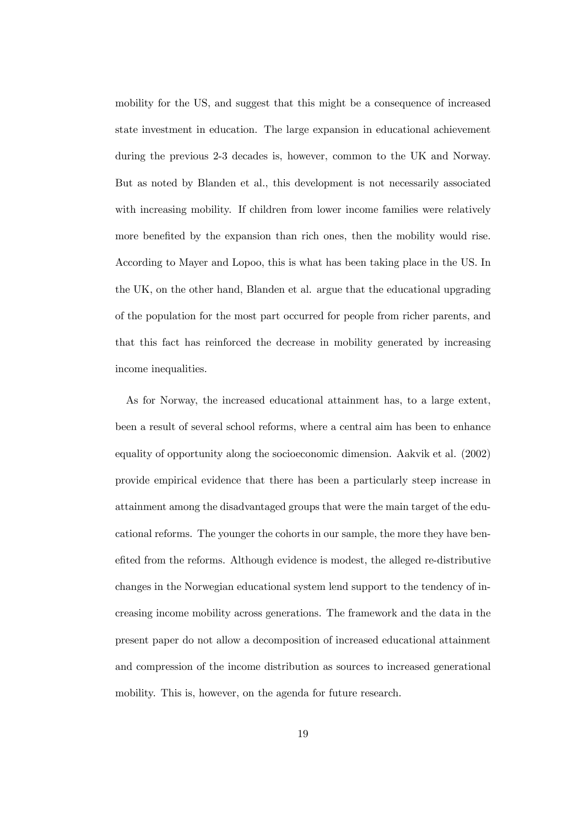mobility for the US, and suggest that this might be a consequence of increased state investment in education. The large expansion in educational achievement during the previous 2-3 decades is, however, common to the UK and Norway. But as noted by Blanden et al., this development is not necessarily associated with increasing mobility. If children from lower income families were relatively more benefited by the expansion than rich ones, then the mobility would rise. According to Mayer and Lopoo, this is what has been taking place in the US. In the UK, on the other hand, Blanden et al. argue that the educational upgrading of the population for the most part occurred for people from richer parents, and that this fact has reinforced the decrease in mobility generated by increasing income inequalities.

As for Norway, the increased educational attainment has, to a large extent, been a result of several school reforms, where a central aim has been to enhance equality of opportunity along the socioeconomic dimension. Aakvik et al. (2002) provide empirical evidence that there has been a particularly steep increase in attainment among the disadvantaged groups that were the main target of the educational reforms. The younger the cohorts in our sample, the more they have benefited from the reforms. Although evidence is modest, the alleged re-distributive changes in the Norwegian educational system lend support to the tendency of increasing income mobility across generations. The framework and the data in the present paper do not allow a decomposition of increased educational attainment and compression of the income distribution as sources to increased generational mobility. This is, however, on the agenda for future research.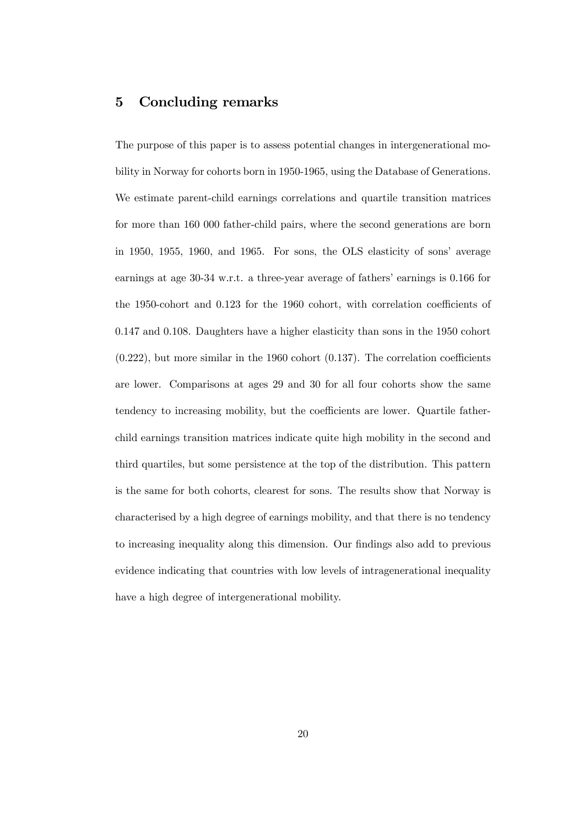#### 5 Concluding remarks

The purpose of this paper is to assess potential changes in intergenerational mobility in Norway for cohorts born in 1950-1965, using the Database of Generations. We estimate parent-child earnings correlations and quartile transition matrices for more than 160 000 father-child pairs, where the second generations are born in 1950, 1955, 1960, and 1965. For sons, the OLS elasticity of sons' average earnings at age 30-34 w.r.t. a three-year average of fathers' earnings is 0.166 for the 1950-cohort and 0.123 for the 1960 cohort, with correlation coefficients of 0.147 and 0.108. Daughters have a higher elasticity than sons in the 1950 cohort  $(0.222)$ , but more similar in the 1960 cohort  $(0.137)$ . The correlation coefficients are lower. Comparisons at ages 29 and 30 for all four cohorts show the same tendency to increasing mobility, but the coefficients are lower. Quartile fatherchild earnings transition matrices indicate quite high mobility in the second and third quartiles, but some persistence at the top of the distribution. This pattern is the same for both cohorts, clearest for sons. The results show that Norway is characterised by a high degree of earnings mobility, and that there is no tendency to increasing inequality along this dimension. Our findings also add to previous evidence indicating that countries with low levels of intragenerational inequality have a high degree of intergenerational mobility.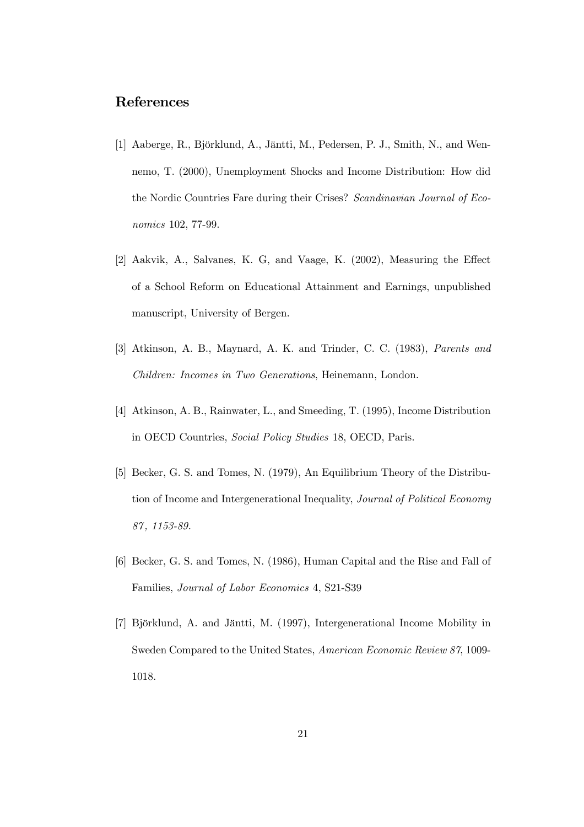#### References

- [1] Aaberge, R., Björklund, A., Jäntti, M., Pedersen, P. J., Smith, N., and Wennemo, T. (2000), Unemployment Shocks and Income Distribution: How did the Nordic Countries Fare during their Crises? Scandinavian Journal of Economics 102, 77-99.
- [2] Aakvik, A., Salvanes, K. G, and Vaage, K. (2002), Measuring the Effect of a School Reform on Educational Attainment and Earnings, unpublished manuscript, University of Bergen.
- [3] Atkinson, A. B., Maynard, A. K. and Trinder, C. C. (1983), Parents and Children: Incomes in Two Generations, Heinemann, London.
- [4] Atkinson, A. B., Rainwater, L., and Smeeding, T. (1995), Income Distribution in OECD Countries, Social Policy Studies 18, OECD, Paris.
- [5] Becker, G. S. and Tomes, N. (1979), An Equilibrium Theory of the Distribution of Income and Intergenerational Inequality, Journal of Political Economy 87 , 1153-89.
- [6] Becker, G. S. and Tomes, N. (1986), Human Capital and the Rise and Fall of Families, Journal of Labor Economics 4, S21-S39
- [7] Björklund, A. and Jäntti, M. (1997), Intergenerational Income Mobility in Sweden Compared to the United States, American Economic Review 87, 1009- 1018.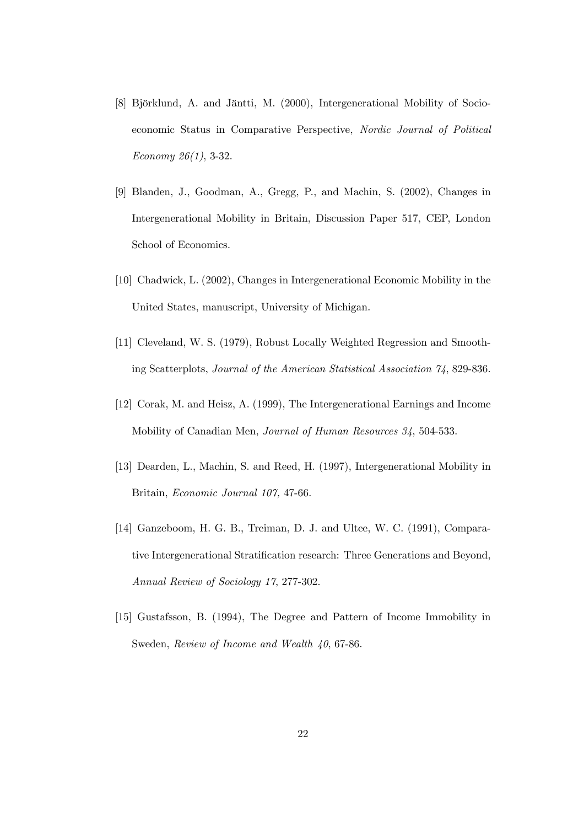- [8] Björklund, A. and Jäntti, M. (2000), Intergenerational Mobility of Socioeconomic Status in Comparative Perspective, Nordic Journal of Political Economy 26(1), 3-32.
- [9] Blanden, J., Goodman, A., Gregg, P., and Machin, S. (2002), Changes in Intergenerational Mobility in Britain, Discussion Paper 517, CEP, London School of Economics.
- [10] Chadwick, L. (2002), Changes in Intergenerational Economic Mobility in the United States, manuscript, University of Michigan.
- [11] Cleveland, W. S. (1979), Robust Locally Weighted Regression and Smoothing Scatterplots, Journal of the American Statistical Association 74, 829-836.
- [12] Corak, M. and Heisz, A. (1999), The Intergenerational Earnings and Income Mobility of Canadian Men, Journal of Human Resources 34, 504-533.
- [13] Dearden, L., Machin, S. and Reed, H. (1997), Intergenerational Mobility in Britain, Economic Journal 107, 47-66.
- [14] Ganzeboom, H. G. B., Treiman, D. J. and Ultee, W. C. (1991), Comparative Intergenerational Stratification research: Three Generations and Beyond, Annual Review of Sociology 17, 277-302.
- [15] Gustafsson, B. (1994), The Degree and Pattern of Income Immobility in Sweden, Review of Income and Wealth 40, 67-86.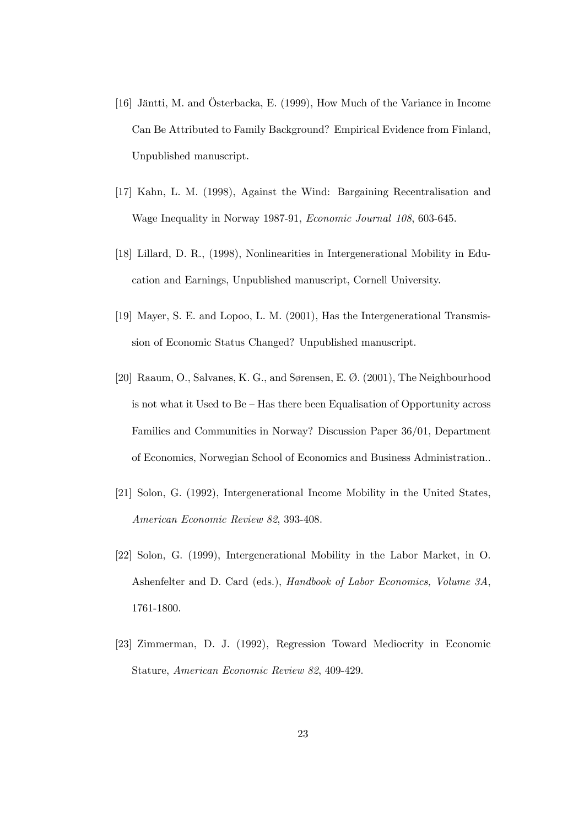- [16] Jäntti, M. and Österbacka, E. (1999), How Much of the Variance in Income Can Be Attributed to Family Background? Empirical Evidence from Finland, Unpublished manuscript.
- [17] Kahn, L. M. (1998), Against the Wind: Bargaining Recentralisation and Wage Inequality in Norway 1987-91, Economic Journal 108, 603-645.
- [18] Lillard, D. R., (1998), Nonlinearities in Intergenerational Mobility in Education and Earnings, Unpublished manuscript, Cornell University.
- [19] Mayer, S. E. and Lopoo, L. M. (2001), Has the Intergenerational Transmission of Economic Status Changed? Unpublished manuscript.
- [20] Raaum, O., Salvanes, K. G., and Sørensen, E. Ø. (2001), The Neighbourhood is not what it Used to Be — Has there been Equalisation of Opportunity across Families and Communities in Norway? Discussion Paper 36/01, Department of Economics, Norwegian School of Economics and Business Administration..
- [21] Solon, G. (1992), Intergenerational Income Mobility in the United States, American Economic Review 82, 393-408.
- [22] Solon, G. (1999), Intergenerational Mobility in the Labor Market, in O. Ashenfelter and D. Card (eds.), Handbook of Labor Economics, Volume 3A, 1761-1800.
- [23] Zimmerman, D. J. (1992), Regression Toward Mediocrity in Economic Stature, American Economic Review 82, 409-429.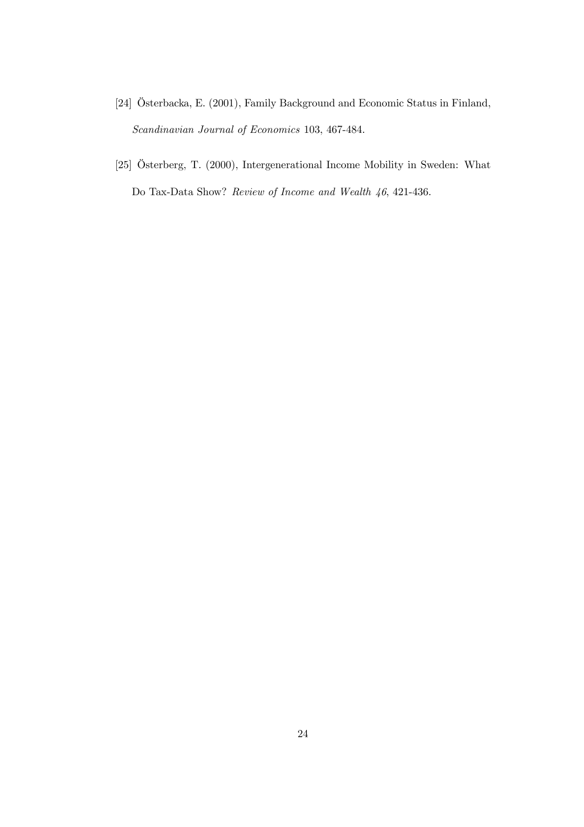- [24] Österbacka, E. (2001), Family Background and Economic Status in Finland, Scandinavian Journal of Economics 103, 467-484.
- [25] Österberg, T. (2000), Intergenerational Income Mobility in Sweden: What Do Tax-Data Show? Review of Income and Wealth 46, 421-436.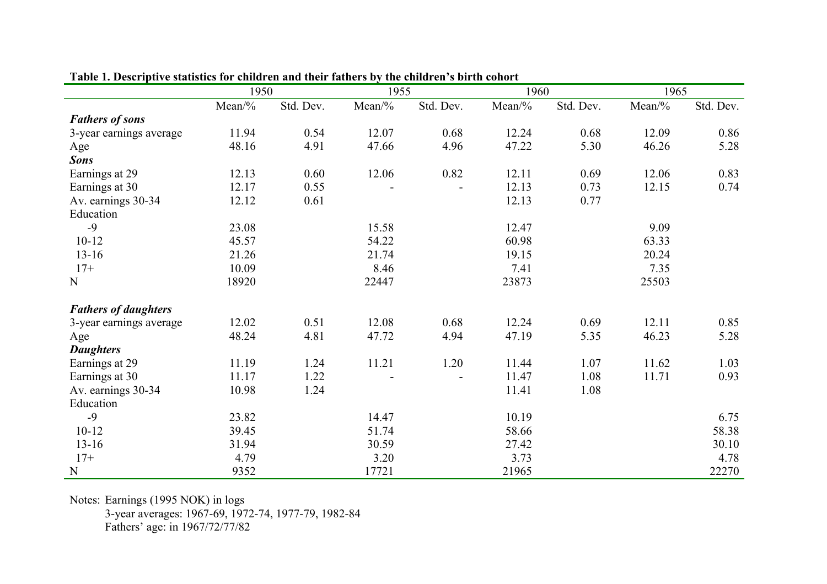|                             | 1950   |           |        | 1955      |          | 1960      |        | 1965      |  |
|-----------------------------|--------|-----------|--------|-----------|----------|-----------|--------|-----------|--|
|                             | Mean/% | Std. Dev. | Mean/% | Std. Dev. | $Mean\%$ | Std. Dev. | Mean/% | Std. Dev. |  |
| <b>Fathers of sons</b>      |        |           |        |           |          |           |        |           |  |
| 3-year earnings average     | 11.94  | 0.54      | 12.07  | 0.68      | 12.24    | 0.68      | 12.09  | 0.86      |  |
| Age                         | 48.16  | 4.91      | 47.66  | 4.96      | 47.22    | 5.30      | 46.26  | 5.28      |  |
| Sons                        |        |           |        |           |          |           |        |           |  |
| Earnings at 29              | 12.13  | 0.60      | 12.06  | 0.82      | 12.11    | 0.69      | 12.06  | 0.83      |  |
| Earnings at 30              | 12.17  | 0.55      |        |           | 12.13    | 0.73      | 12.15  | 0.74      |  |
| Av. earnings 30-34          | 12.12  | 0.61      |        |           | 12.13    | 0.77      |        |           |  |
| Education                   |        |           |        |           |          |           |        |           |  |
| $-9$                        | 23.08  |           | 15.58  |           | 12.47    |           | 9.09   |           |  |
| $10 - 12$                   | 45.57  |           | 54.22  |           | 60.98    |           | 63.33  |           |  |
| $13 - 16$                   | 21.26  |           | 21.74  |           | 19.15    |           | 20.24  |           |  |
| $17+$                       | 10.09  |           | 8.46   |           | 7.41     |           | 7.35   |           |  |
| $\mathbf N$                 | 18920  |           | 22447  |           | 23873    |           | 25503  |           |  |
| <b>Fathers of daughters</b> |        |           |        |           |          |           |        |           |  |
| 3-year earnings average     | 12.02  | 0.51      | 12.08  | 0.68      | 12.24    | 0.69      | 12.11  | 0.85      |  |
| Age                         | 48.24  | 4.81      | 47.72  | 4.94      | 47.19    | 5.35      | 46.23  | 5.28      |  |
| <b>Daughters</b>            |        |           |        |           |          |           |        |           |  |
| Earnings at 29              | 11.19  | 1.24      | 11.21  | 1.20      | 11.44    | 1.07      | 11.62  | 1.03      |  |
| Earnings at 30              | 11.17  | 1.22      |        |           | 11.47    | 1.08      | 11.71  | 0.93      |  |
| Av. earnings 30-34          | 10.98  | 1.24      |        |           | 11.41    | 1.08      |        |           |  |
| Education                   |        |           |        |           |          |           |        |           |  |
| $-9$                        | 23.82  |           | 14.47  |           | 10.19    |           |        | 6.75      |  |
| $10 - 12$                   | 39.45  |           | 51.74  |           | 58.66    |           |        | 58.38     |  |
| $13 - 16$                   | 31.94  |           | 30.59  |           | 27.42    |           |        | 30.10     |  |
| $17+$                       | 4.79   |           | 3.20   |           | 3.73     |           |        | 4.78      |  |
| ${\bf N}$                   | 9352   |           | 17721  |           | 21965    |           |        | 22270     |  |

**Table 1. Descriptive statistics for children and their fathers by the children's birth cohort** 

Notes: Earnings (1995 NOK) in logs 3-year averages: 1967-69, 1972-74, 1977-79, 1982-84 Fathers' age: in 1967/72/77/82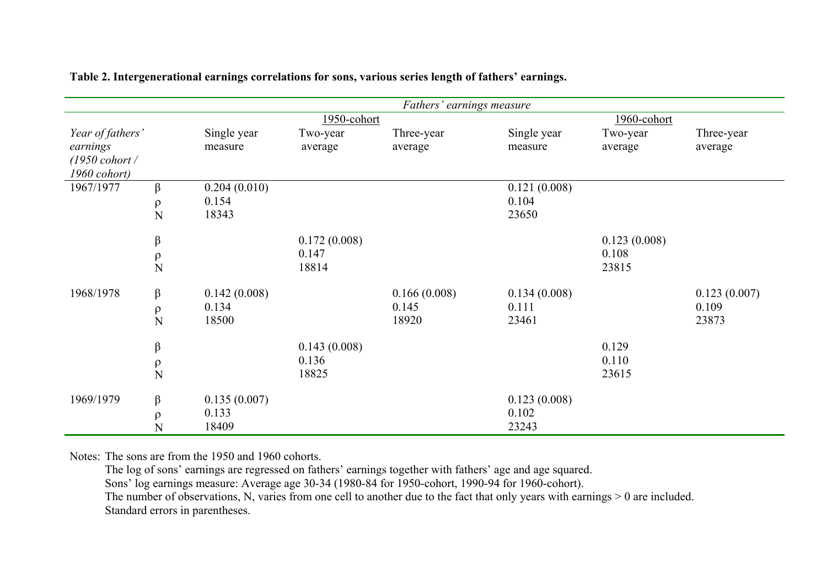|                          |             | Fathers' earnings measure |              |              |              |              |              |  |  |  |
|--------------------------|-------------|---------------------------|--------------|--------------|--------------|--------------|--------------|--|--|--|
|                          |             |                           | 1950-cohort  |              | 1960-cohort  |              |              |  |  |  |
| Year of fathers'         |             | Single year               | Two-year     | Three-year   | Single year  | Two-year     | Three-year   |  |  |  |
| earnings                 |             | measure                   | average      | average      | measure      | average      | average      |  |  |  |
| $(1950 \text{ cohort}$ / |             |                           |              |              |              |              |              |  |  |  |
| 1960 cohort)             |             |                           |              |              |              |              |              |  |  |  |
| 1967/1977                | $\beta$     | 0.204(0.010)              |              |              | 0.121(0.008) |              |              |  |  |  |
|                          | $\rho$      | 0.154                     |              |              | 0.104        |              |              |  |  |  |
|                          | N           | 18343                     |              |              | 23650        |              |              |  |  |  |
|                          | $\beta$     |                           | 0.172(0.008) |              |              | 0.123(0.008) |              |  |  |  |
|                          | $\rho$      |                           | 0.147        |              |              | 0.108        |              |  |  |  |
|                          | N           |                           | 18814        |              |              | 23815        |              |  |  |  |
| 1968/1978                | $\beta$     | 0.142(0.008)              |              | 0.166(0.008) | 0.134(0.008) |              | 0.123(0.007) |  |  |  |
|                          |             | 0.134                     |              | 0.145        | 0.111        |              | 0.109        |  |  |  |
|                          | $\rho$<br>N | 18500                     |              | 18920        | 23461        |              | 23873        |  |  |  |
|                          |             |                           |              |              |              |              |              |  |  |  |
|                          | $\beta$     |                           | 0.143(0.008) |              |              | 0.129        |              |  |  |  |
|                          | ρ           |                           | 0.136        |              |              | 0.110        |              |  |  |  |
|                          | N           |                           | 18825        |              |              | 23615        |              |  |  |  |
| 1969/1979                | $\beta$     | 0.135(0.007)              |              |              | 0.123(0.008) |              |              |  |  |  |
|                          | $\rho$      | 0.133                     |              |              | 0.102        |              |              |  |  |  |
|                          | N           | 18409                     |              |              | 23243        |              |              |  |  |  |

**Table 2. Intergenerational earnings correlations for sons, various series length of fathers' earnings.** 

Notes: The sons are from the 1950 and 1960 cohorts.

The log of sons' earnings are regressed on fathers' earnings together with fathers' age and age squared.

Sons' log earnings measure: Average age 30-34 (1980-84 for 1950-cohort, 1990-94 for 1960-cohort).

The number of observations, N, varies from one cell to another due to the fact that only years with earnings  $> 0$  are included. Standard errors in parentheses.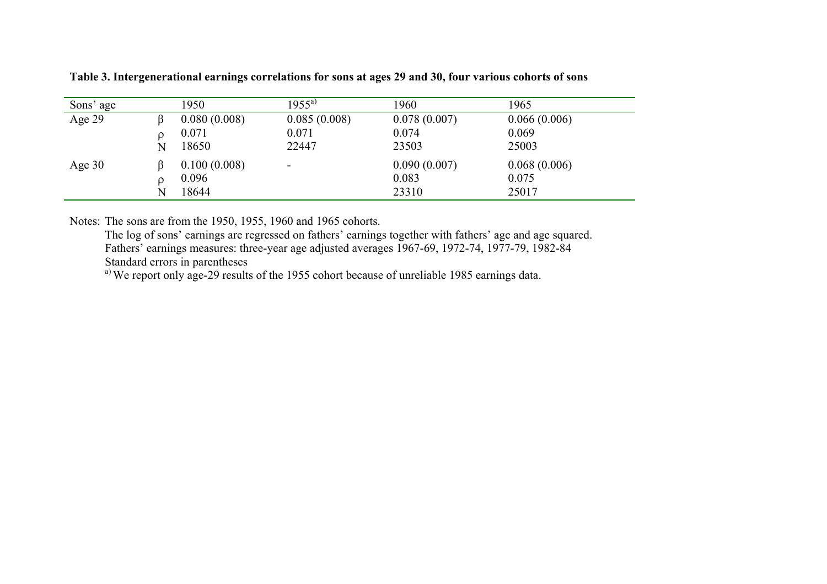| Sons' age |   | 1950         | $1955^{a}$               | 1960         | 1965         |
|-----------|---|--------------|--------------------------|--------------|--------------|
| Age $29$  |   | 0.080(0.008) | 0.085(0.008)             | 0.078(0.007) | 0.066(0.006) |
|           |   | 0.071        | 0.071                    | 0.074        | 0.069        |
|           | N | 18650        | 22447                    | 23503        | 25003        |
| Age $30$  |   | 0.100(0.008) | $\overline{\phantom{a}}$ | 0.090(0.007) | 0.068(0.006) |
|           |   | 0.096        |                          | 0.083        | 0.075        |
|           | N | 18644        |                          | 23310        | 25017        |

**Table 3. Intergenerational earnings correlations for sons at ages 29 and 30, four various cohorts of sons** 

Notes: The sons are from the 1950, 1955, 1960 and 1965 cohorts.

The log of sons' earnings are regressed on fathers' earnings together with fathers' age and age squared. Fathers' earnings measures: three-year age adjusted averages 1967-69, 1972-74, 1977-79, 1982-84 Standard errors in parentheses

a) We report only age-29 results of the 1955 cohort because of unreliable 1985 earnings data.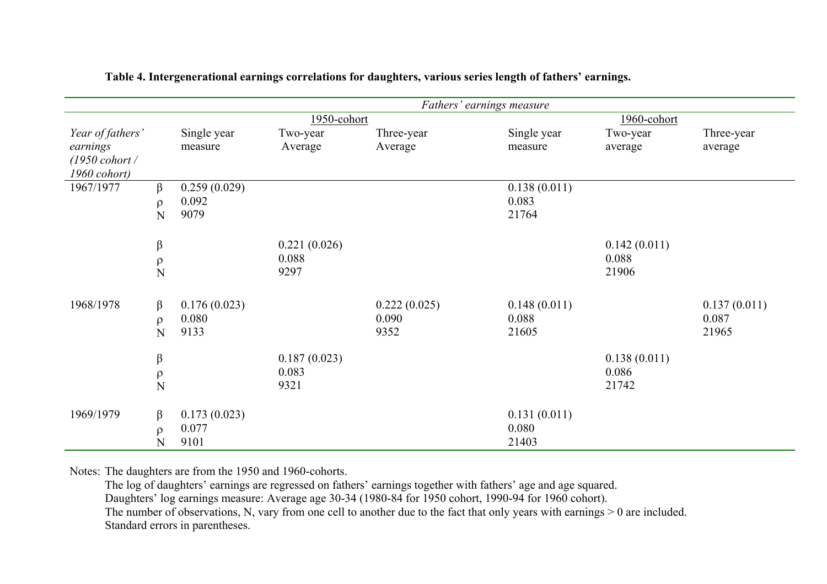|                          |             |               |              | Fathers' earnings measure |                |              |              |
|--------------------------|-------------|---------------|--------------|---------------------------|----------------|--------------|--------------|
|                          |             |               | 1950-cohort  |                           |                | 1960-cohort  |              |
| Year of fathers'         |             | Single year   | Two-year     | Three-year                | Single year    | Two-year     | Three-year   |
| earnings                 |             | measure       | Average      | Average                   | measure        | average      | average      |
| $(1950 \text{ cohort}$ / |             |               |              |                           |                |              |              |
| 1960 cohort)             |             |               |              |                           |                |              |              |
| 1967/1977                | $\beta$     | 0.259(0.029)  |              |                           | 0.138(0.011)   |              |              |
|                          | $\rho$<br>N | 0.092<br>9079 |              |                           | 0.083<br>21764 |              |              |
|                          |             |               |              |                           |                |              |              |
|                          | $\beta$     |               | 0.221(0.026) |                           |                | 0.142(0.011) |              |
|                          |             |               | 0.088        |                           |                | 0.088        |              |
|                          | $\rho$<br>N |               | 9297         |                           |                | 21906        |              |
|                          |             |               |              |                           |                |              |              |
| 1968/1978                | $\beta$     | 0.176(0.023)  |              | 0.222(0.025)              | 0.148(0.011)   |              | 0.137(0.011) |
|                          | $\rho$      | 0.080         |              | 0.090                     | 0.088          |              | 0.087        |
|                          | N           | 9133          |              | 9352                      | 21605          |              | 21965        |
|                          |             |               |              |                           |                |              |              |
|                          | $\beta$     |               | 0.187(0.023) |                           |                | 0.138(0.011) |              |
|                          | $\rho$      |               | 0.083        |                           |                | 0.086        |              |
|                          | N           |               | 9321         |                           |                | 21742        |              |
|                          |             |               |              |                           |                |              |              |
| 1969/1979                | $\beta$     | 0.173(0.023)  |              |                           | 0.131(0.011)   |              |              |
|                          | $\rho$      | 0.077         |              |                           | 0.080          |              |              |
|                          | N           | 9101          |              |                           | 21403          |              |              |

**Table 4. Intergenerational earnings correlations for daughters, various series length of fathers' earnings.** 

Notes: The daughters are from the 1950 and 1960-cohorts.

The log of daughters' earnings are regressed on fathers' earnings together with fathers' age and age squared.

Daughters' log earnings measure: Average age 30-34 (1980-84 for 1950 cohort, 1990-94 for 1960 cohort).

The number of observations, N, vary from one cell to another due to the fact that only years with earnings > 0 are included.

Standard errors in parentheses.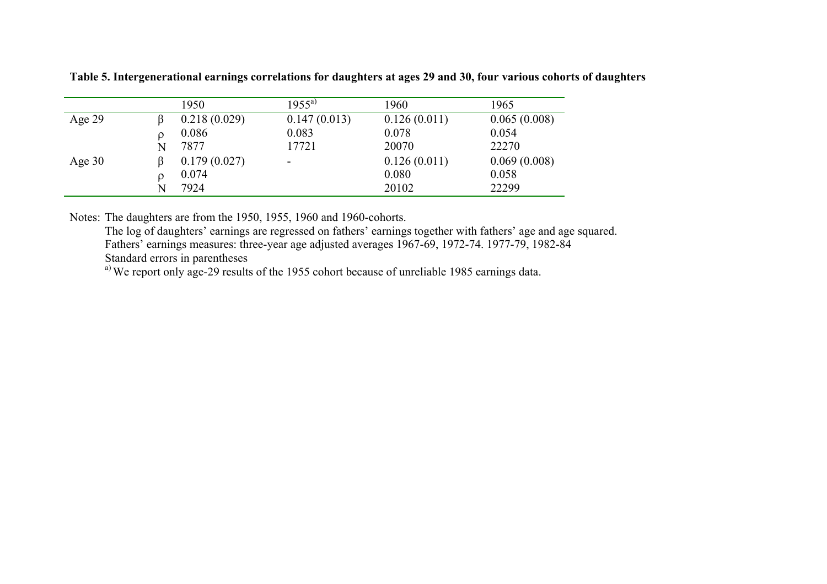|          |   | 1950         | $1955^{a)}$              | 1960         | 1965         |
|----------|---|--------------|--------------------------|--------------|--------------|
| Age $29$ |   | 0.218(0.029) | 0.147(0.013)             | 0.126(0.011) | 0.065(0.008) |
|          |   | 0.086        | 0.083                    | 0.078        | 0.054        |
|          | N | 7877         | 17721                    | 20070        | 22270        |
| Age $30$ |   | 0.179(0.027) | $\overline{\phantom{a}}$ | 0.126(0.011) | 0.069(0.008) |
|          |   | 0.074        |                          | 0.080        | 0.058        |
|          | N | 7924         |                          | 20102        | 22299        |

**Table 5. Intergenerational earnings correlations for daughters at ages 29 and 30, four various cohorts of daughters** 

Notes: The daughters are from the 1950, 1955, 1960 and 1960-cohorts.

The log of daughters' earnings are regressed on fathers' earnings together with fathers' age and age squared. Fathers' earnings measures: three-year age adjusted averages 1967-69, 1972-74. 1977-79, 1982-84 Standard errors in parentheses

<sup>a)</sup> We report only age-29 results of the 1955 cohort because of unreliable 1985 earnings data.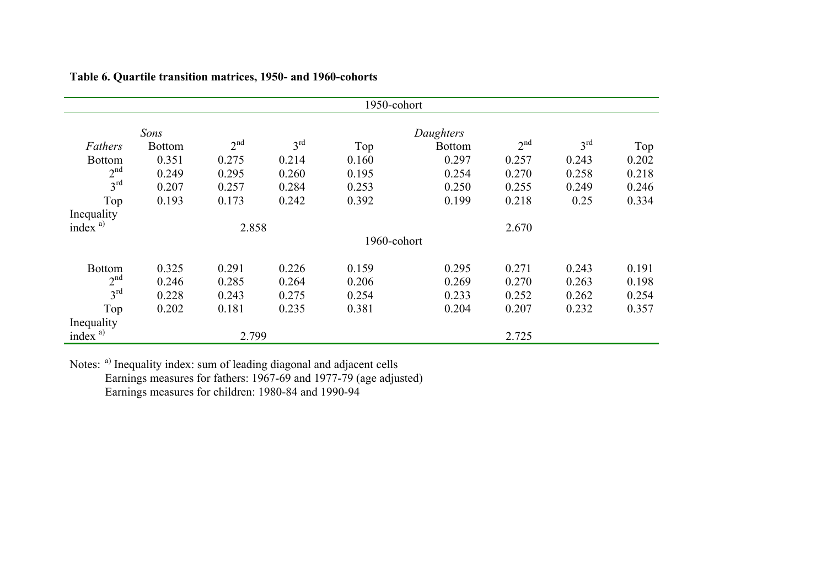|                         |               |                 |                 | 1950-cohort |               |                 |                 |       |
|-------------------------|---------------|-----------------|-----------------|-------------|---------------|-----------------|-----------------|-------|
|                         | Sons          |                 |                 |             | Daughters     |                 |                 |       |
| Fathers                 | <b>Bottom</b> | 2 <sup>nd</sup> | $3^{\text{rd}}$ | Top         | <b>Bottom</b> | 2 <sup>nd</sup> | $3^{\text{rd}}$ | Top   |
| <b>Bottom</b>           | 0.351         | 0.275           | 0.214           | 0.160       | 0.297         | 0.257           | 0.243           | 0.202 |
| 2 <sup>nd</sup>         | 0.249         | 0.295           | 0.260           | 0.195       | 0.254         | 0.270           | 0.258           | 0.218 |
| $3^{\text{rd}}$         | 0.207         | 0.257           | 0.284           | 0.253       | 0.250         | 0.255           | 0.249           | 0.246 |
| Top                     | 0.193         | 0.173           | 0.242           | 0.392       | 0.199         | 0.218           | 0.25            | 0.334 |
| Inequality              |               |                 |                 |             |               |                 |                 |       |
| index $a$ <sup>a)</sup> |               | 2.858           |                 |             |               | 2.670           |                 |       |
|                         |               |                 |                 | 1960-cohort |               |                 |                 |       |
| <b>Bottom</b>           | 0.325         | 0.291           | 0.226           | 0.159       | 0.295         | 0.271           | 0.243           | 0.191 |
| 2 <sup>nd</sup>         | 0.246         | 0.285           | 0.264           | 0.206       | 0.269         | 0.270           | 0.263           | 0.198 |
| $3^{\text{rd}}$         | 0.228         | 0.243           | 0.275           | 0.254       | 0.233         | 0.252           | 0.262           | 0.254 |
| Top                     | 0.202         | 0.181           | 0.235           | 0.381       | 0.204         | 0.207           | 0.232           | 0.357 |
| Inequality              |               |                 |                 |             |               |                 |                 |       |
| index $a$ <sup>a)</sup> |               | 2.799           |                 |             |               | 2.725           |                 |       |

**Table 6. Quartile transition matrices, 1950- and 1960-cohorts** 

Notes: <sup>a)</sup> Inequality index: sum of leading diagonal and adjacent cells Earnings measures for fathers: 1967-69 and 1977-79 (age adjusted) Earnings measures for children: 1980-84 and 1990-94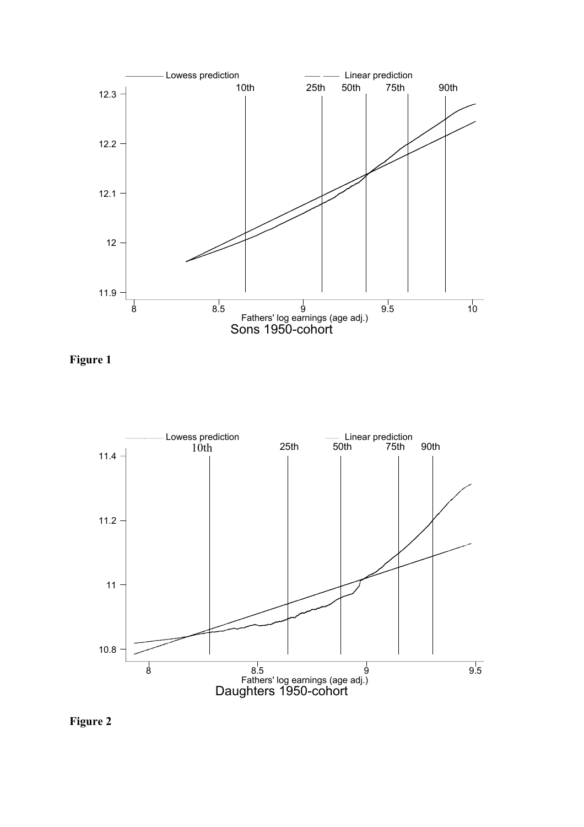

**Figure 1** 



**Figure 2**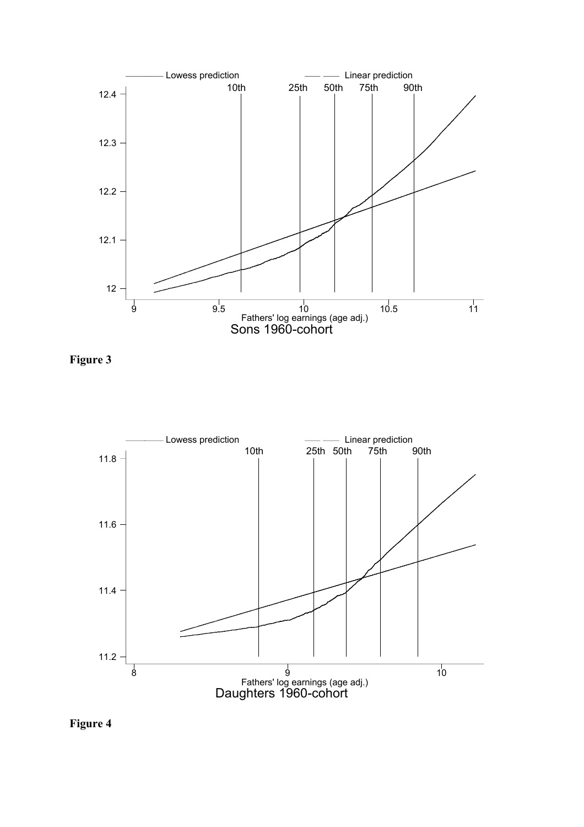

**Figure 3** 



**Figure 4**